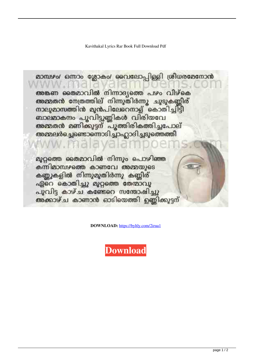Kavithakal Lyrics Rar Book Full Download Pdf

മാമ്പഴം/ ഒന്നാം ശ്ലോകം/ വൈലോപ്പിള്ളി ശ്രീധരമേനോൻ അങ്കണ തൈമാവിൽ നിന്നാദ്യത്തെ പഴം വീഴ്കെ<br>അമ്മത<mark>ൻ നേ</mark>ത്രത്തില് നിന്നുതിർന്നു ചുടുകണ്ണീര് നാലുമാസത്തിൻ മുൻപിലേറെനാള് കൊതിച്ചിട്ടി ബാലമാകന്ദം പൂവിട്ടുണ്ണികൾ വിരിയവേ അമ്മതൻ മണിക്കുട്ടന് പൂത്തിരികത്തിച്ചപോല്<br>അമ്മലർച്ചെണ്ടൊന്നൊടിച്ചാഹ്ലാദിച്ചടുത്തെത്തീ മുറ്റത്തെ തൈമാവിൽ നിന്നും പൊഴിഞ്ഞ കന്നിമാമ്പഴത്തെ കാണവേ അമ്മയുടെ കണ്ണുകളിൽ നിന്നുമുതിർന്നു കണ്ണിര് ഏറെ കൊതിച്ചു മുറ്റത്തെ തേന്മാവു പുവിട്ട കാഴ്ച കണ്ടേറെ സന്തോഷിച്ചു അക്കാഴ്ച കാണാൻ ഓടിയെത്തി ഉണ്ണിക്കുട്ടന്

**DOWNLOAD:** <https://byltly.com/2irua1>